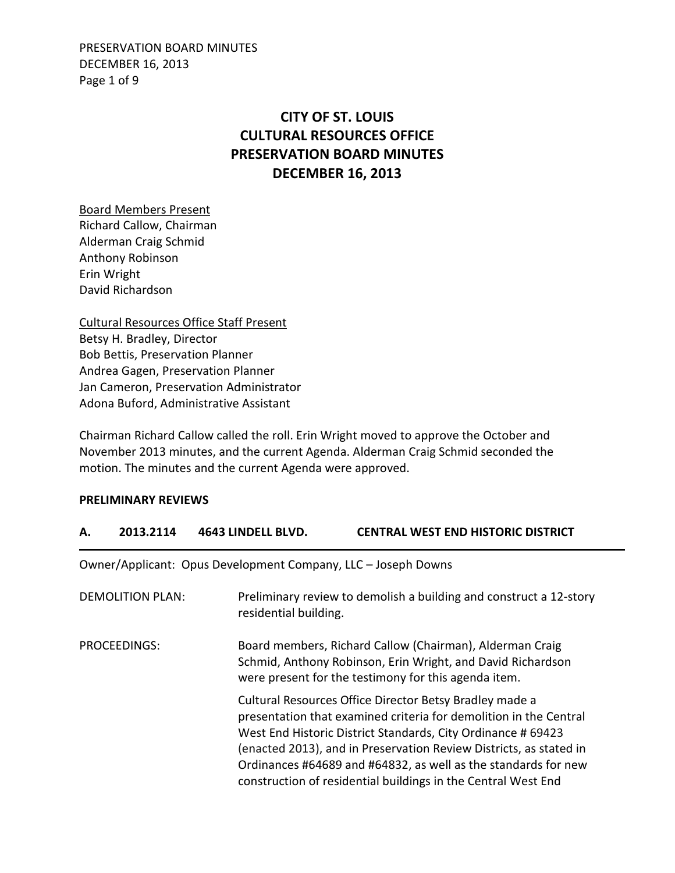PRESERVATION BOARD MINUTES DECEMBER 16, 2013 Page 1 of 9

# **CITY OF ST. LOUIS CULTURAL RESOURCES OFFICE PRESERVATION BOARD MINUTES DECEMBER 16, 2013**

Board Members Present Richard Callow, Chairman Alderman Craig Schmid Anthony Robinson Erin Wright David Richardson

Cultural Resources Office Staff Present Betsy H. Bradley, Director Bob Bettis, Preservation Planner Andrea Gagen, Preservation Planner Jan Cameron, Preservation Administrator Adona Buford, Administrative Assistant

Chairman Richard Callow called the roll. Erin Wright moved to approve the October and November 2013 minutes, and the current Agenda. Alderman Craig Schmid seconded the motion. The minutes and the current Agenda were approved.

**A. 2013.2114 4643 LINDELL BLVD. CENTRAL WEST END HISTORIC DISTRICT** 

#### **PRELIMINARY REVIEWS**

|                         |                                                               | CLIVIINAL VVLJI LIVY IIIJIVINIC PIJIINICI                                                                                                                                                                                                                                                                                                                                                             |
|-------------------------|---------------------------------------------------------------|-------------------------------------------------------------------------------------------------------------------------------------------------------------------------------------------------------------------------------------------------------------------------------------------------------------------------------------------------------------------------------------------------------|
|                         | Owner/Applicant: Opus Development Company, LLC - Joseph Downs |                                                                                                                                                                                                                                                                                                                                                                                                       |
| <b>DEMOLITION PLAN:</b> | residential building.                                         | Preliminary review to demolish a building and construct a 12-story                                                                                                                                                                                                                                                                                                                                    |
| PROCEEDINGS:            |                                                               | Board members, Richard Callow (Chairman), Alderman Craig<br>Schmid, Anthony Robinson, Erin Wright, and David Richardson<br>were present for the testimony for this agenda item.                                                                                                                                                                                                                       |
|                         |                                                               | Cultural Resources Office Director Betsy Bradley made a<br>presentation that examined criteria for demolition in the Central<br>West End Historic District Standards, City Ordinance # 69423<br>(enacted 2013), and in Preservation Review Districts, as stated in<br>Ordinances #64689 and #64832, as well as the standards for new<br>construction of residential buildings in the Central West End |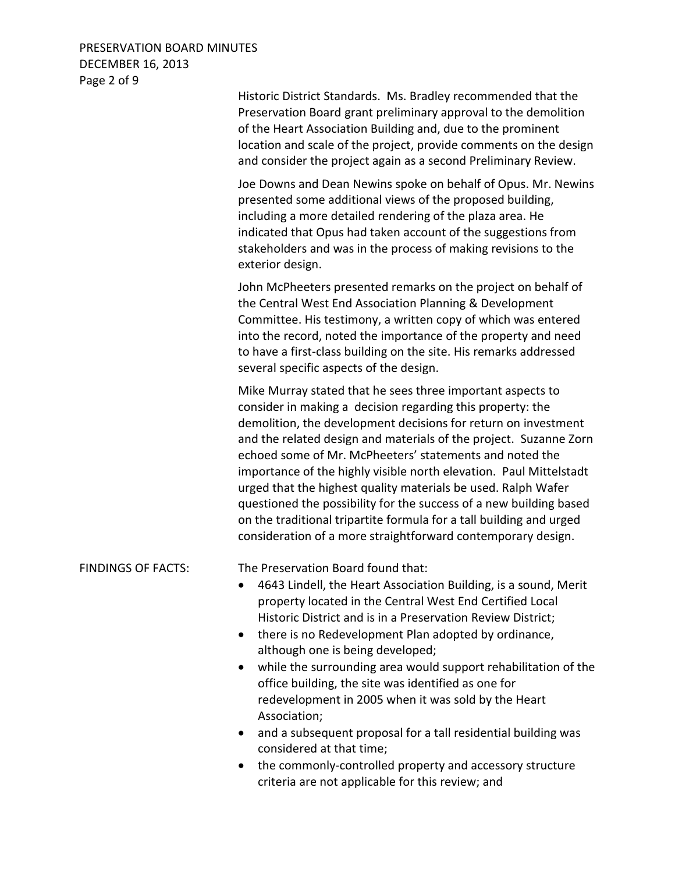# PRESERVATION BOARD MINUTES DECEMBER 16, 2013 Page 2 of 9

Historic District Standards. Ms. Bradley recommended that the Preservation Board grant preliminary approval to the demolition of the Heart Association Building and, due to the prominent location and scale of the project, provide comments on the design and consider the project again as a second Preliminary Review. Joe Downs and Dean Newins spoke on behalf of Opus. Mr. Newins presented some additional views of the proposed building, including a more detailed rendering of the plaza area. He indicated that Opus had taken account of the suggestions from stakeholders and was in the process of making revisions to the exterior design. John McPheeters presented remarks on the project on behalf of the Central West End Association Planning & Development Committee. His testimony, a written copy of which was entered into the record, noted the importance of the property and need to have a first-class building on the site. His remarks addressed several specific aspects of the design. Mike Murray stated that he sees three important aspects to

consider in making a decision regarding this property: the demolition, the development decisions for return on investment and the related design and materials of the project. Suzanne Zorn echoed some of Mr. McPheeters' statements and noted the importance of the highly visible north elevation. Paul Mittelstadt urged that the highest quality materials be used. Ralph Wafer questioned the possibility for the success of a new building based on the traditional tripartite formula for a tall building and urged consideration of a more straightforward contemporary design.

FINDINGS OF FACTS: The Preservation Board found that:

- 4643 Lindell, the Heart Association Building, is a sound, Merit property located in the Central West End Certified Local Historic District and is in a Preservation Review District;
- there is no Redevelopment Plan adopted by ordinance, although one is being developed;
- while the surrounding area would support rehabilitation of the office building, the site was identified as one for redevelopment in 2005 when it was sold by the Heart Association;
- and a subsequent proposal for a tall residential building was considered at that time;
- the commonly-controlled property and accessory structure criteria are not applicable for this review; and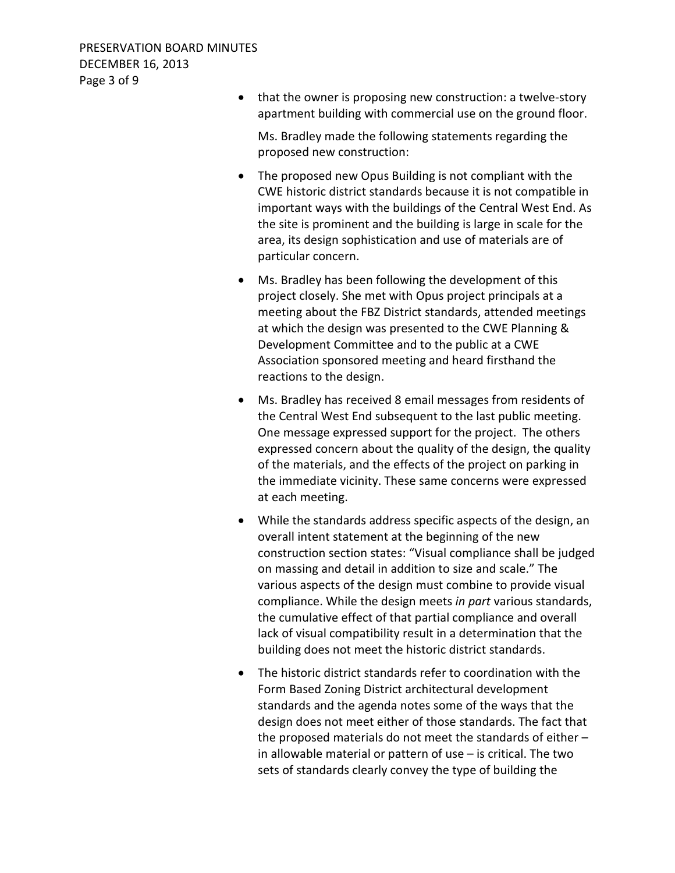• that the owner is proposing new construction: a twelve-story apartment building with commercial use on the ground floor.

Ms. Bradley made the following statements regarding the proposed new construction:

- The proposed new Opus Building is not compliant with the CWE historic district standards because it is not compatible in important ways with the buildings of the Central West End. As the site is prominent and the building is large in scale for the area, its design sophistication and use of materials are of particular concern.
- Ms. Bradley has been following the development of this project closely. She met with Opus project principals at a meeting about the FBZ District standards, attended meetings at which the design was presented to the CWE Planning & Development Committee and to the public at a CWE Association sponsored meeting and heard firsthand the reactions to the design.
- Ms. Bradley has received 8 email messages from residents of the Central West End subsequent to the last public meeting. One message expressed support for the project. The others expressed concern about the quality of the design, the quality of the materials, and the effects of the project on parking in the immediate vicinity. These same concerns were expressed at each meeting.
- While the standards address specific aspects of the design, an overall intent statement at the beginning of the new construction section states: "Visual compliance shall be judged on massing and detail in addition to size and scale." The various aspects of the design must combine to provide visual compliance. While the design meets *in part* various standards, the cumulative effect of that partial compliance and overall lack of visual compatibility result in a determination that the building does not meet the historic district standards.
- The historic district standards refer to coordination with the Form Based Zoning District architectural development standards and the agenda notes some of the ways that the design does not meet either of those standards. The fact that the proposed materials do not meet the standards of either – in allowable material or pattern of use – is critical. The two sets of standards clearly convey the type of building the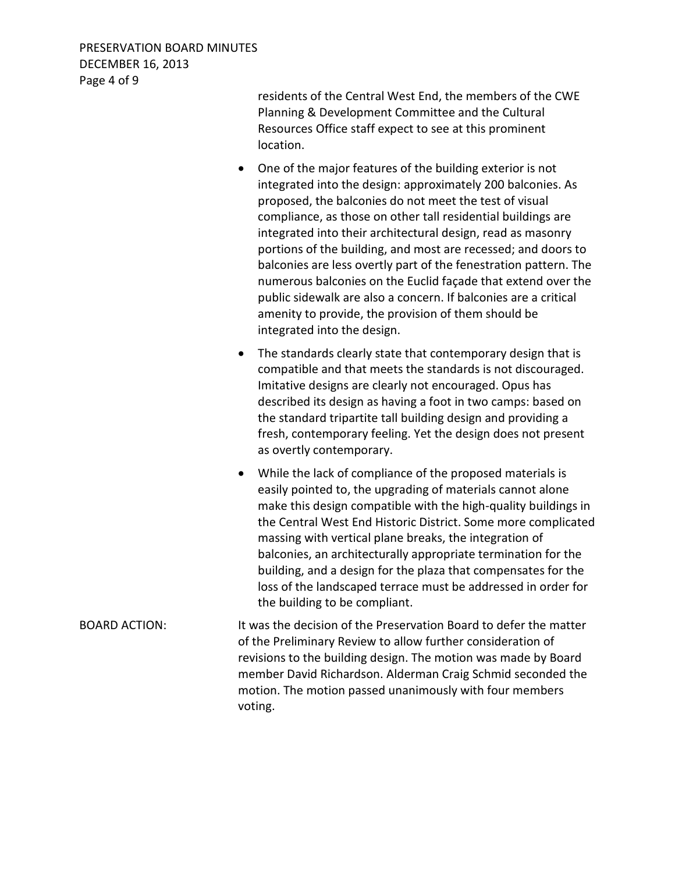residents of the Central West End, the members of the CWE Planning & Development Committee and the Cultural Resources Office staff expect to see at this prominent location.

- One of the major features of the building exterior is not integrated into the design: approximately 200 balconies. As proposed, the balconies do not meet the test of visual compliance, as those on other tall residential buildings are integrated into their architectural design, read as masonry portions of the building, and most are recessed; and doors to balconies are less overtly part of the fenestration pattern. The numerous balconies on the Euclid façade that extend over the public sidewalk are also a concern. If balconies are a critical amenity to provide, the provision of them should be integrated into the design.
- The standards clearly state that contemporary design that is compatible and that meets the standards is not discouraged. Imitative designs are clearly not encouraged. Opus has described its design as having a foot in two camps: based on the standard tripartite tall building design and providing a fresh, contemporary feeling. Yet the design does not present as overtly contemporary.
- While the lack of compliance of the proposed materials is easily pointed to, the upgrading of materials cannot alone make this design compatible with the high-quality buildings in the Central West End Historic District. Some more complicated massing with vertical plane breaks, the integration of balconies, an architecturally appropriate termination for the building, and a design for the plaza that compensates for the loss of the landscaped terrace must be addressed in order for the building to be compliant.
- BOARD ACTION: It was the decision of the Preservation Board to defer the matter of the Preliminary Review to allow further consideration of revisions to the building design. The motion was made by Board member David Richardson. Alderman Craig Schmid seconded the motion. The motion passed unanimously with four members voting.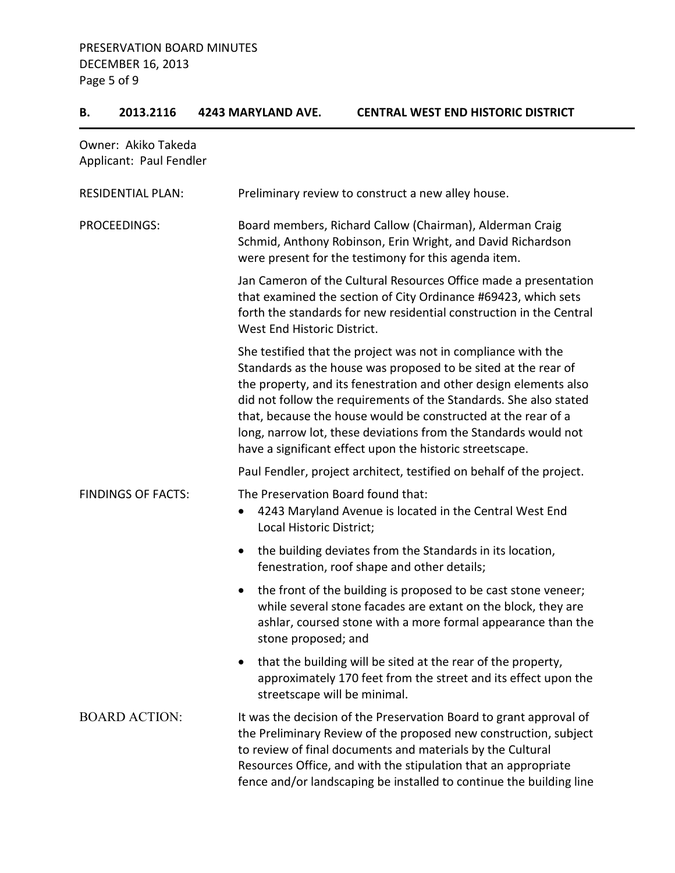# **B. 2013.2116 4243 MARYLAND AVE. CENTRAL WEST END HISTORIC DISTRICT**

| Owner: Akiko Takeda<br>Applicant: Paul Fendler |                                                                                                                                                                                                                                                                                                                                                                                                                                                                           |
|------------------------------------------------|---------------------------------------------------------------------------------------------------------------------------------------------------------------------------------------------------------------------------------------------------------------------------------------------------------------------------------------------------------------------------------------------------------------------------------------------------------------------------|
| <b>RESIDENTIAL PLAN:</b>                       | Preliminary review to construct a new alley house.                                                                                                                                                                                                                                                                                                                                                                                                                        |
| PROCEEDINGS:                                   | Board members, Richard Callow (Chairman), Alderman Craig<br>Schmid, Anthony Robinson, Erin Wright, and David Richardson<br>were present for the testimony for this agenda item.                                                                                                                                                                                                                                                                                           |
|                                                | Jan Cameron of the Cultural Resources Office made a presentation<br>that examined the section of City Ordinance #69423, which sets<br>forth the standards for new residential construction in the Central<br>West End Historic District.                                                                                                                                                                                                                                  |
|                                                | She testified that the project was not in compliance with the<br>Standards as the house was proposed to be sited at the rear of<br>the property, and its fenestration and other design elements also<br>did not follow the requirements of the Standards. She also stated<br>that, because the house would be constructed at the rear of a<br>long, narrow lot, these deviations from the Standards would not<br>have a significant effect upon the historic streetscape. |
|                                                | Paul Fendler, project architect, testified on behalf of the project.                                                                                                                                                                                                                                                                                                                                                                                                      |
| <b>FINDINGS OF FACTS:</b>                      | The Preservation Board found that:<br>4243 Maryland Avenue is located in the Central West End<br>$\bullet$<br>Local Historic District;                                                                                                                                                                                                                                                                                                                                    |
|                                                | the building deviates from the Standards in its location,<br>$\bullet$<br>fenestration, roof shape and other details;                                                                                                                                                                                                                                                                                                                                                     |
|                                                | the front of the building is proposed to be cast stone veneer;<br>$\bullet$<br>while several stone facades are extant on the block, they are<br>ashlar, coursed stone with a more formal appearance than the<br>stone proposed; and                                                                                                                                                                                                                                       |
|                                                | that the building will be sited at the rear of the property,<br>approximately 170 feet from the street and its effect upon the<br>streetscape will be minimal.                                                                                                                                                                                                                                                                                                            |
| <b>BOARD ACTION:</b>                           | It was the decision of the Preservation Board to grant approval of<br>the Preliminary Review of the proposed new construction, subject<br>to review of final documents and materials by the Cultural<br>Resources Office, and with the stipulation that an appropriate<br>fence and/or landscaping be installed to continue the building line                                                                                                                             |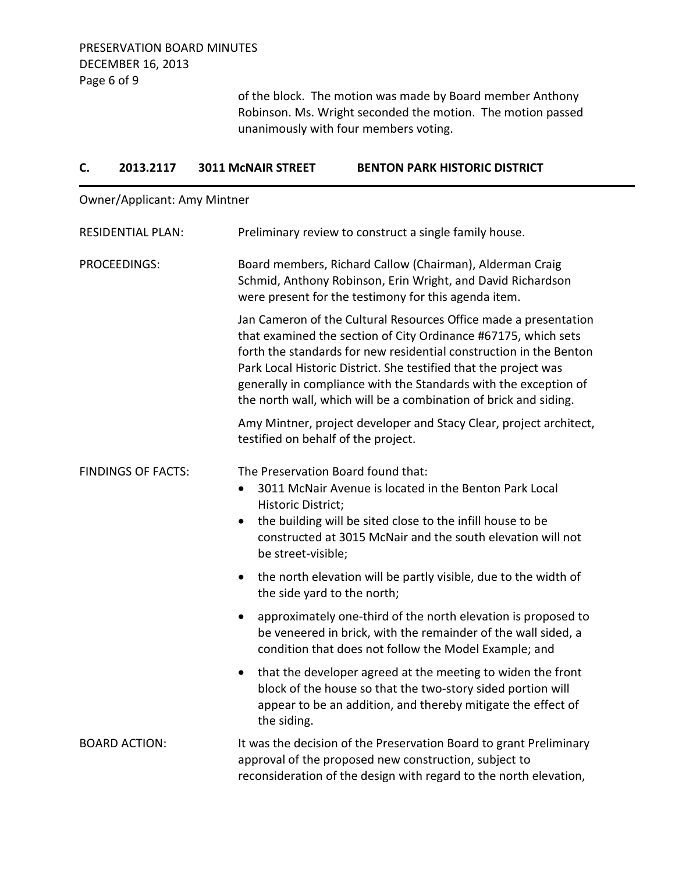of the block. The motion was made by Board member Anthony Robinson. Ms. Wright seconded the motion. The motion passed unanimously with four members voting.

| C.                        | 2013.2117                           | <b>3011 MCNAIR STREET</b>                             | <b>BENTON PARK HISTORIC DISTRICT</b>                                                                                                                                                                                                                                                                                                                                                                                 |  |  |
|---------------------------|-------------------------------------|-------------------------------------------------------|----------------------------------------------------------------------------------------------------------------------------------------------------------------------------------------------------------------------------------------------------------------------------------------------------------------------------------------------------------------------------------------------------------------------|--|--|
|                           | <b>Owner/Applicant: Amy Mintner</b> |                                                       |                                                                                                                                                                                                                                                                                                                                                                                                                      |  |  |
|                           | <b>RESIDENTIAL PLAN:</b>            |                                                       | Preliminary review to construct a single family house.                                                                                                                                                                                                                                                                                                                                                               |  |  |
| PROCEEDINGS:              |                                     |                                                       | Board members, Richard Callow (Chairman), Alderman Craig<br>Schmid, Anthony Robinson, Erin Wright, and David Richardson<br>were present for the testimony for this agenda item.                                                                                                                                                                                                                                      |  |  |
|                           |                                     |                                                       | Jan Cameron of the Cultural Resources Office made a presentation<br>that examined the section of City Ordinance #67175, which sets<br>forth the standards for new residential construction in the Benton<br>Park Local Historic District. She testified that the project was<br>generally in compliance with the Standards with the exception of<br>the north wall, which will be a combination of brick and siding. |  |  |
|                           |                                     | testified on behalf of the project.                   | Amy Mintner, project developer and Stacy Clear, project architect,                                                                                                                                                                                                                                                                                                                                                   |  |  |
| <b>FINDINGS OF FACTS:</b> |                                     | $\bullet$<br>Historic District;<br>be street-visible; | The Preservation Board found that:<br>3011 McNair Avenue is located in the Benton Park Local<br>the building will be sited close to the infill house to be<br>constructed at 3015 McNair and the south elevation will not                                                                                                                                                                                            |  |  |
|                           |                                     | $\bullet$<br>the side yard to the north;              | the north elevation will be partly visible, due to the width of                                                                                                                                                                                                                                                                                                                                                      |  |  |
|                           |                                     | $\bullet$                                             | approximately one-third of the north elevation is proposed to<br>be veneered in brick, with the remainder of the wall sided, a<br>condition that does not follow the Model Example; and                                                                                                                                                                                                                              |  |  |
|                           |                                     | the siding.                                           | that the developer agreed at the meeting to widen the front<br>block of the house so that the two-story sided portion will<br>appear to be an addition, and thereby mitigate the effect of                                                                                                                                                                                                                           |  |  |
|                           | <b>BOARD ACTION:</b>                |                                                       | It was the decision of the Preservation Board to grant Preliminary<br>approval of the proposed new construction, subject to<br>reconsideration of the design with regard to the north elevation,                                                                                                                                                                                                                     |  |  |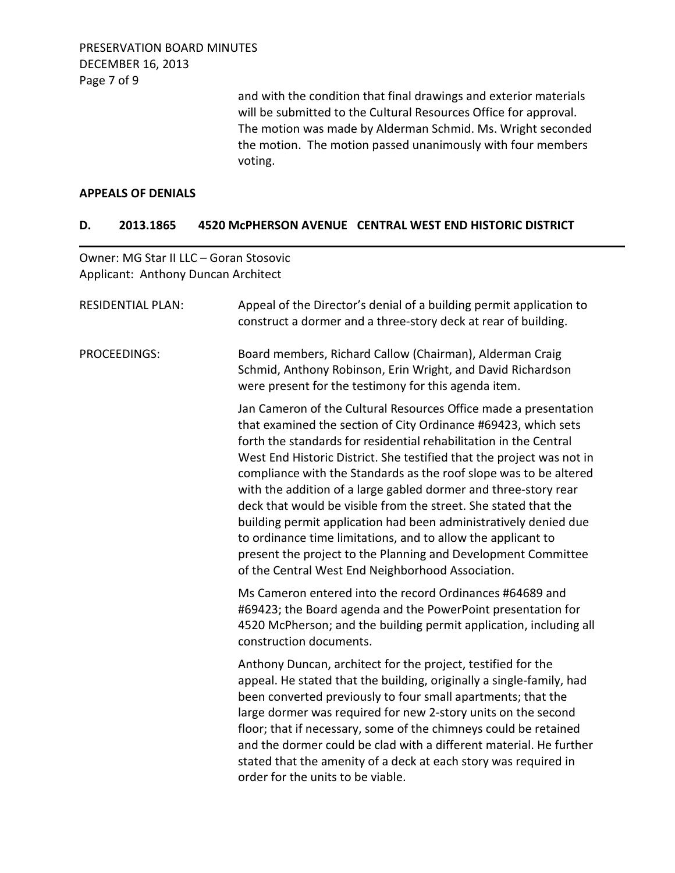PRESERVATION BOARD MINUTES DECEMBER 16, 2013 Page 7 of 9

> and with the condition that final drawings and exterior materials will be submitted to the Cultural Resources Office for approval. The motion was made by Alderman Schmid. Ms. Wright seconded the motion. The motion passed unanimously with four members voting.

#### **APPEALS OF DENIALS**

## **D. 2013.1865 4520 McPHERSON AVENUE CENTRAL WEST END HISTORIC DISTRICT**

Owner: MG Star II LLC – Goran Stosovic Applicant: Anthony Duncan Architect

| <b>RESIDENTIAL PLAN:</b> | Appeal of the Director's denial of a building permit application to<br>construct a dormer and a three-story deck at rear of building.                                                                                                                                                                                                                                                                                                                                                                                                                                                                                                                                                                                                                 |
|--------------------------|-------------------------------------------------------------------------------------------------------------------------------------------------------------------------------------------------------------------------------------------------------------------------------------------------------------------------------------------------------------------------------------------------------------------------------------------------------------------------------------------------------------------------------------------------------------------------------------------------------------------------------------------------------------------------------------------------------------------------------------------------------|
| PROCEEDINGS:             | Board members, Richard Callow (Chairman), Alderman Craig<br>Schmid, Anthony Robinson, Erin Wright, and David Richardson<br>were present for the testimony for this agenda item.                                                                                                                                                                                                                                                                                                                                                                                                                                                                                                                                                                       |
|                          | Jan Cameron of the Cultural Resources Office made a presentation<br>that examined the section of City Ordinance #69423, which sets<br>forth the standards for residential rehabilitation in the Central<br>West End Historic District. She testified that the project was not in<br>compliance with the Standards as the roof slope was to be altered<br>with the addition of a large gabled dormer and three-story rear<br>deck that would be visible from the street. She stated that the<br>building permit application had been administratively denied due<br>to ordinance time limitations, and to allow the applicant to<br>present the project to the Planning and Development Committee<br>of the Central West End Neighborhood Association. |
|                          | Ms Cameron entered into the record Ordinances #64689 and<br>#69423; the Board agenda and the PowerPoint presentation for<br>4520 McPherson; and the building permit application, including all<br>construction documents.                                                                                                                                                                                                                                                                                                                                                                                                                                                                                                                             |
|                          | Anthony Duncan, architect for the project, testified for the<br>appeal. He stated that the building, originally a single-family, had<br>been converted previously to four small apartments; that the<br>large dormer was required for new 2-story units on the second<br>floor; that if necessary, some of the chimneys could be retained<br>and the dormer could be clad with a different material. He further<br>stated that the amenity of a deck at each story was required in<br>order for the units to be viable.                                                                                                                                                                                                                               |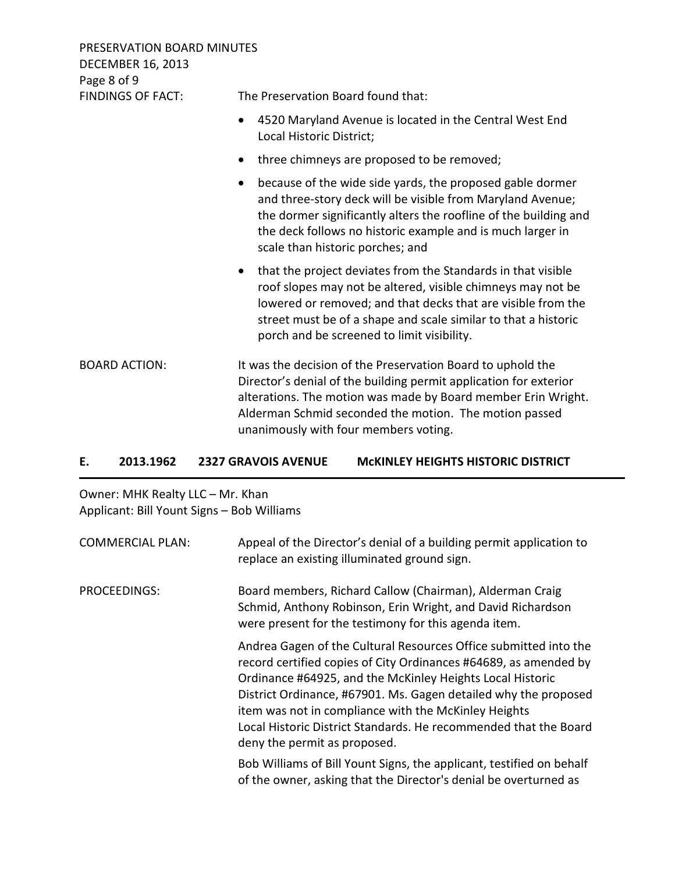| PRESERVATION BOARD MINUTES<br><b>DECEMBER 16, 2013</b><br>Page 8 of 9 |                                                                                                                                                                                                                                                                                                                          |  |
|-----------------------------------------------------------------------|--------------------------------------------------------------------------------------------------------------------------------------------------------------------------------------------------------------------------------------------------------------------------------------------------------------------------|--|
| <b>FINDINGS OF FACT:</b>                                              | The Preservation Board found that:                                                                                                                                                                                                                                                                                       |  |
|                                                                       | 4520 Maryland Avenue is located in the Central West End<br>٠<br>Local Historic District;                                                                                                                                                                                                                                 |  |
|                                                                       | three chimneys are proposed to be removed;                                                                                                                                                                                                                                                                               |  |
|                                                                       | because of the wide side yards, the proposed gable dormer<br>and three-story deck will be visible from Maryland Avenue;<br>the dormer significantly alters the roofline of the building and<br>the deck follows no historic example and is much larger in<br>scale than historic porches; and                            |  |
|                                                                       | that the project deviates from the Standards in that visible<br>$\bullet$<br>roof slopes may not be altered, visible chimneys may not be<br>lowered or removed; and that decks that are visible from the<br>street must be of a shape and scale similar to that a historic<br>porch and be screened to limit visibility. |  |
| <b>BOARD ACTION:</b>                                                  | It was the decision of the Preservation Board to uphold the<br>Director's denial of the building permit application for exterior<br>alterations. The motion was made by Board member Erin Wright.<br>Alderman Schmid seconded the motion. The motion passed<br>unanimously with four members voting.                     |  |

## **E. 2013.1962 2327 GRAVOIS AVENUE McKINLEY HEIGHTS HISTORIC DISTRICT**

Owner: MHK Realty LLC – Mr. Khan Applicant: Bill Yount Signs – Bob Williams

| <b>COMMERCIAL PLAN:</b> | Appeal of the Director's denial of a building permit application to<br>replace an existing illuminated ground sign.                                                                                                                                                                                                                                                                                                              |
|-------------------------|----------------------------------------------------------------------------------------------------------------------------------------------------------------------------------------------------------------------------------------------------------------------------------------------------------------------------------------------------------------------------------------------------------------------------------|
| PROCEEDINGS:            | Board members, Richard Callow (Chairman), Alderman Craig<br>Schmid, Anthony Robinson, Erin Wright, and David Richardson<br>were present for the testimony for this agenda item.                                                                                                                                                                                                                                                  |
|                         | Andrea Gagen of the Cultural Resources Office submitted into the<br>record certified copies of City Ordinances #64689, as amended by<br>Ordinance #64925, and the McKinley Heights Local Historic<br>District Ordinance, #67901. Ms. Gagen detailed why the proposed<br>item was not in compliance with the McKinley Heights<br>Local Historic District Standards. He recommended that the Board<br>deny the permit as proposed. |
|                         | Bob Williams of Bill Yount Signs, the applicant, testified on behalf<br>of the owner, asking that the Director's denial be overturned as                                                                                                                                                                                                                                                                                         |